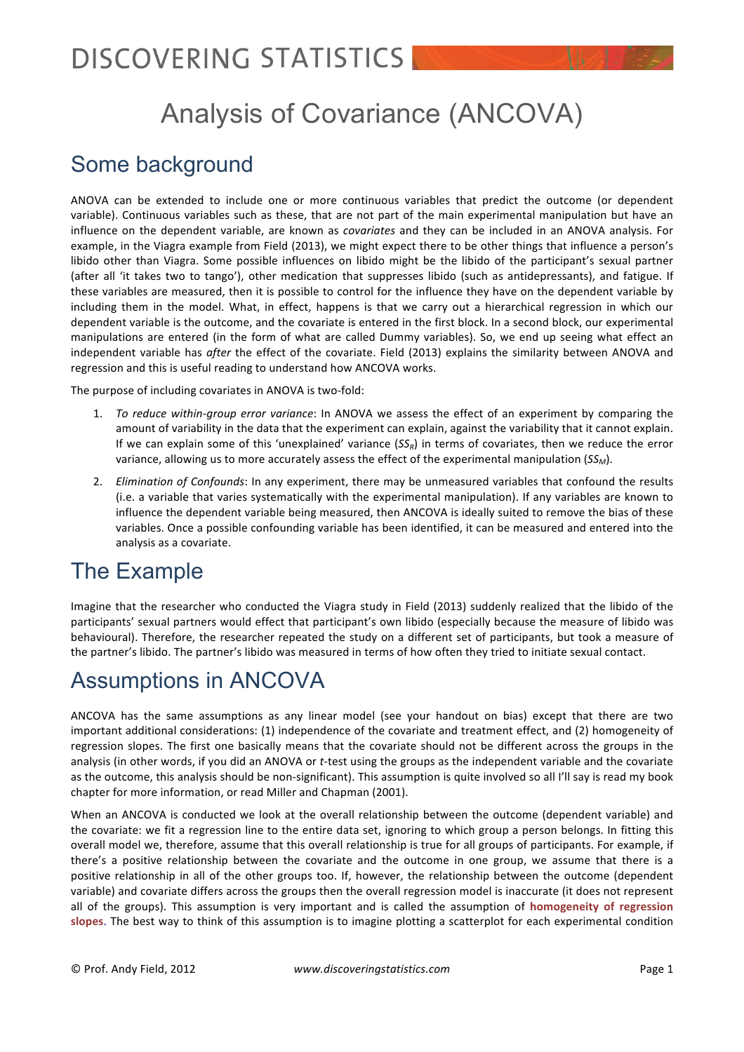## Analysis of Covariance (ANCOVA)

### Some background

ANOVA can be extended to include one or more continuous variables that predict the outcome (or dependent variable). Continuous variables such as these, that are not part of the main experimental manipulation but have an influence on the dependent variable, are known as *covariates* and they can be included in an ANOVA analysis. For example, in the Viagra example from Field (2013), we might expect there to be other things that influence a person's libido other than Viagra. Some possible influences on libido might be the libido of the participant's sexual partner (after all 'it takes two to tango'), other medication that suppresses libido (such as antidepressants), and fatigue. If these variables are measured, then it is possible to control for the influence they have on the dependent variable by including them in the model. What, in effect, happens is that we carry out a hierarchical regression in which our dependent variable is the outcome, and the covariate is entered in the first block. In a second block, our experimental manipulations are entered (in the form of what are called Dummy variables). So, we end up seeing what effect an independent variable has after the effect of the covariate. Field (2013) explains the similarity between ANOVA and regression and this is useful reading to understand how ANCOVA works.

The purpose of including covariates in ANOVA is two-fold:

- 1. *To reduce within-group error variance*: In ANOVA we assess the effect of an experiment by comparing the amount of variability in the data that the experiment can explain, against the variability that it cannot explain. If we can explain some of this 'unexplained' variance  $(SS_R)$  in terms of covariates, then we reduce the error variance, allowing us to more accurately assess the effect of the experimental manipulation (*SS<sub>M</sub>*).
- 2. *Elimination of Confounds*: In any experiment, there may be unmeasured variables that confound the results (i.e. a variable that varies systematically with the experimental manipulation). If any variables are known to influence the dependent variable being measured, then ANCOVA is ideally suited to remove the bias of these variables. Once a possible confounding variable has been identified, it can be measured and entered into the analysis as a covariate.

### The Example

Imagine that the researcher who conducted the Viagra study in Field (2013) suddenly realized that the libido of the participants' sexual partners would effect that participant's own libido (especially because the measure of libido was behavioural). Therefore, the researcher repeated the study on a different set of participants, but took a measure of the partner's libido. The partner's libido was measured in terms of how often they tried to initiate sexual contact.

### Assumptions in ANCOVA

ANCOVA has the same assumptions as any linear model (see your handout on bias) except that there are two important additional considerations: (1) independence of the covariate and treatment effect, and (2) homogeneity of regression slopes. The first one basically means that the covariate should not be different across the groups in the analysis (in other words, if you did an ANOVA or t-test using the groups as the independent variable and the covariate as the outcome, this analysis should be non-significant). This assumption is quite involved so all I'll say is read my book chapter for more information, or read Miller and Chapman (2001).

When an ANCOVA is conducted we look at the overall relationship between the outcome (dependent variable) and the covariate: we fit a regression line to the entire data set, ignoring to which group a person belongs. In fitting this overall model we, therefore, assume that this overall relationship is true for all groups of participants. For example, if there's a positive relationship between the covariate and the outcome in one group, we assume that there is a positive relationship in all of the other groups too. If, however, the relationship between the outcome (dependent variable) and covariate differs across the groups then the overall regression model is inaccurate (it does not represent all of the groups). This assumption is very important and is called the assumption of **homogeneity** of regression slopes. The best way to think of this assumption is to imagine plotting a scatterplot for each experimental condition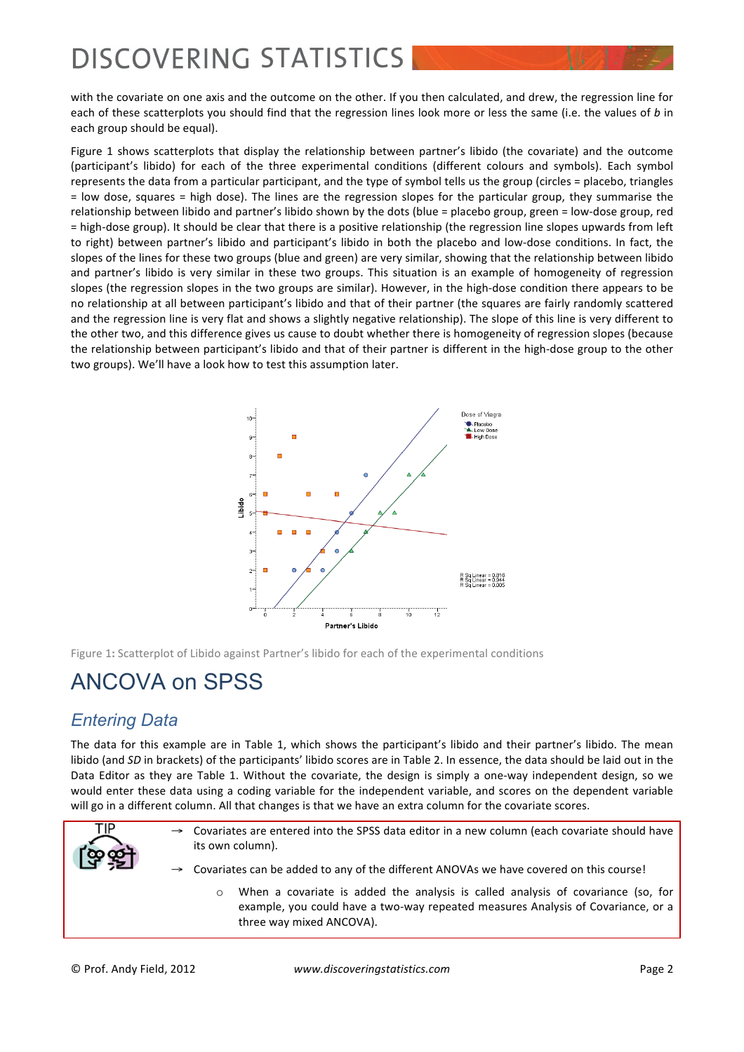with the covariate on one axis and the outcome on the other. If you then calculated, and drew, the regression line for each of these scatterplots you should find that the regression lines look more or less the same (i.e. the values of *b* in each group should be equal).

Figure 1 shows scatterplots that display the relationship between partner's libido (the covariate) and the outcome (participant's libido) for each of the three experimental conditions (different colours and symbols). Each symbol represents the data from a particular participant, and the type of symbol tells us the group (circles = placebo, triangles = low dose, squares = high dose). The lines are the regression slopes for the particular group, they summarise the relationship between libido and partner's libido shown by the dots (blue = placebo group, green = low-dose group, red = high-dose group). It should be clear that there is a positive relationship (the regression line slopes upwards from left to right) between partner's libido and participant's libido in both the placebo and low-dose conditions. In fact, the slopes of the lines for these two groups (blue and green) are very similar, showing that the relationship between libido and partner's libido is very similar in these two groups. This situation is an example of homogeneity of regression slopes (the regression slopes in the two groups are similar). However, in the high-dose condition there appears to be no relationship at all between participant's libido and that of their partner (the squares are fairly randomly scattered and the regression line is very flat and shows a slightly negative relationship). The slope of this line is very different to the other two, and this difference gives us cause to doubt whether there is homogeneity of regression slopes (because the relationship between participant's libido and that of their partner is different in the high-dose group to the other two groups). We'll have a look how to test this assumption later.



Figure 1: Scatterplot of Libido against Partner's libido for each of the experimental conditions

## ANCOVA on SPSS

### *Entering Data*

The data for this example are in Table 1, which shows the participant's libido and their partner's libido. The mean libido (and *SD* in brackets) of the participants' libido scores are in Table 2. In essence, the data should be laid out in the Data Editor as they are Table 1. Without the covariate, the design is simply a one-way independent design, so we would enter these data using a coding variable for the independent variable, and scores on the dependent variable will go in a different column. All that changes is that we have an extra column for the covariate scores.



Covariates are entered into the SPSS data editor in a new column (each covariate should have its own column).

- Covariates can be added to any of the different ANOVAs we have covered on this course!
	- $\circ$  When a covariate is added the analysis is called analysis of covariance (so, for example, you could have a two-way repeated measures Analysis of Covariance, or a three way mixed ANCOVA).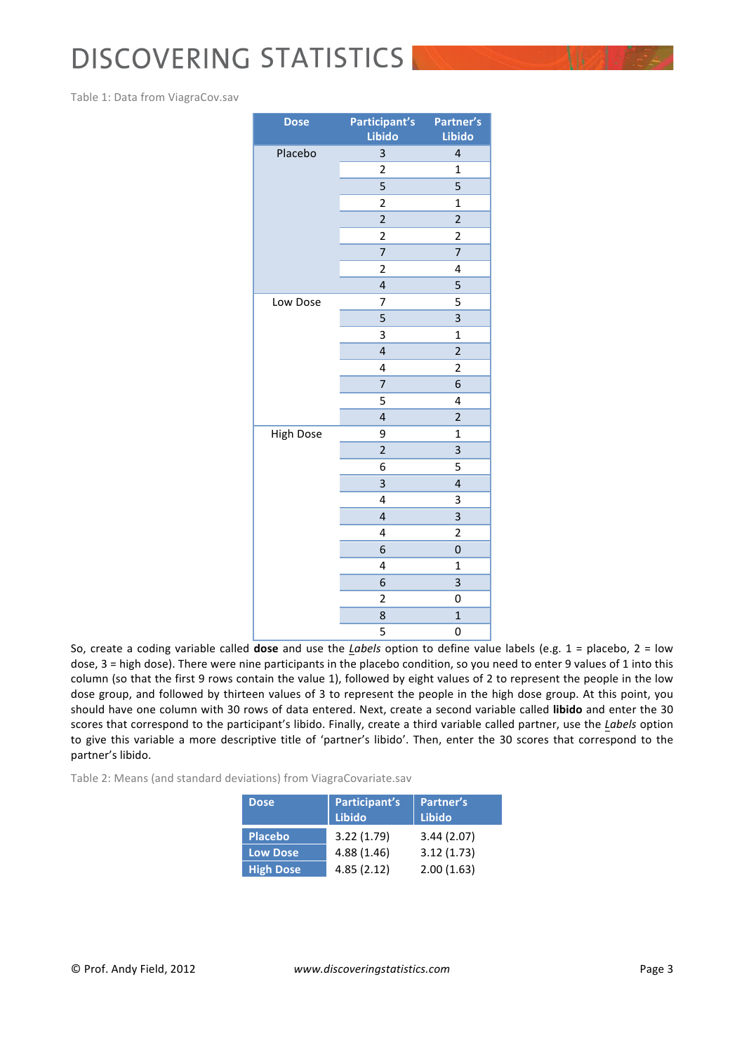Table 1: Data from ViagraCov.sav

| <b>Dose</b>      | Participant's<br>Libido | Partner's<br>Libido     |
|------------------|-------------------------|-------------------------|
| Placebo          | 3                       | $\overline{\mathbf{4}}$ |
|                  | $\overline{2}$          | $\mathbf{1}$            |
|                  | 5                       | 5                       |
|                  | 2                       | $\mathbf 1$             |
|                  | $\overline{2}$          | $\overline{2}$          |
|                  | 2                       | $\overline{2}$          |
|                  | $\overline{7}$          | $\overline{7}$          |
|                  | $\overline{2}$          | 4                       |
|                  | 4                       | 5                       |
| Low Dose         | 7                       | 5                       |
|                  | 5                       | 3                       |
|                  | 3                       | $\mathbf{1}$            |
|                  | 4                       | $\overline{2}$          |
|                  | 4                       | $\overline{2}$          |
|                  | $\overline{7}$          | 6                       |
|                  | 5                       | 4                       |
|                  | $\overline{\mathbf{4}}$ | $\overline{2}$          |
| <b>High Dose</b> | 9                       | $\mathbf{1}$            |
|                  | $\overline{2}$          | 3                       |
|                  | 6                       | 5                       |
|                  | 3                       | $\overline{4}$          |
|                  | 4                       | 3                       |
|                  | $\overline{\mathbf{4}}$ | 3                       |
|                  | 4                       | $\overline{2}$          |
|                  | 6                       | $\pmb{0}$               |
|                  | 4                       | $\mathbf 1$             |
|                  | 6                       | $\overline{\mathbf{3}}$ |
|                  | $\overline{\mathbf{c}}$ | 0                       |
|                  | 8                       | $\mathbf 1$             |
|                  | 5                       | 0                       |

So, create a coding variable called **dose** and use the *Labels* option to define value labels (e.g. 1 = placebo, 2 = low dose, 3 = high dose). There were nine participants in the placebo condition, so you need to enter 9 values of 1 into this column (so that the first 9 rows contain the value 1), followed by eight values of 2 to represent the people in the low dose group, and followed by thirteen values of 3 to represent the people in the high dose group. At this point, you should have one column with 30 rows of data entered. Next, create a second variable called libido and enter the 30 scores that correspond to the participant's libido. Finally, create a third variable called partner, use the *Labels* option to give this variable a more descriptive title of 'partner's libido'. Then, enter the 30 scores that correspond to the partner's libido.

Table 2: Means (and standard deviations) from ViagraCovariate.sav

| <b>Dose</b>      | Participant's<br>Libido | Partner's<br><b>Libido</b> |
|------------------|-------------------------|----------------------------|
| Placebo          | 3.22(1.79)              | 3.44(2.07)                 |
| <b>Low Dose</b>  | 4.88(1.46)              | 3.12(1.73)                 |
| <b>High Dose</b> | 4.85(2.12)              | 2.00(1.63)                 |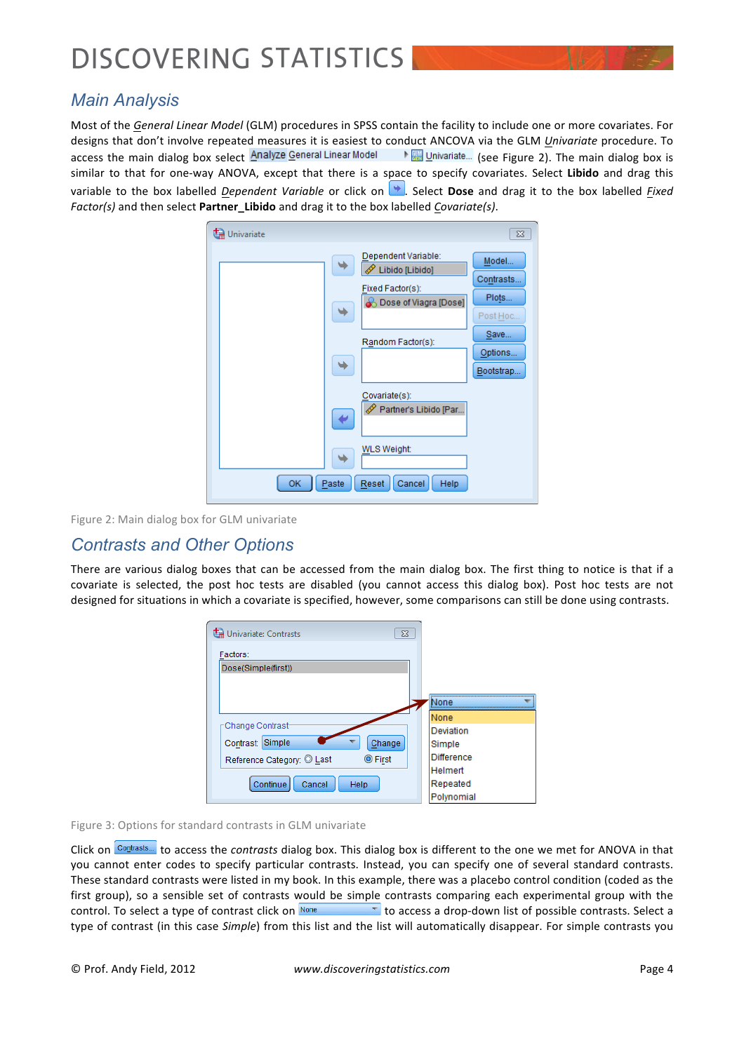### *Main Analysis*

Most of the *General Linear Model* (GLM) procedures in SPSS contain the facility to include one or more covariates. For designs that don't involve repeated measures it is easiest to conduct ANCOVA via the GLM *Univariate* procedure. To access the main dialog box select **Analyze** General Linear Model **Degree Lines and Seart** (see Figure 2). The main dialog box is similar to that for one-way ANOVA, except that there is a space to specify covariates. Select Libido and drag this variable to the box labelled *Dependent Variable* or click on **.** Select **Dose** and drag it to the box labelled *Fixed Factor(s)* and then select **Partner\_Libido** and drag it to the box labelled *Covariate(s)*.



Figure 2: Main dialog box for GLM univariate

### *Contrasts and Other Options*

There are various dialog boxes that can be accessed from the main dialog box. The first thing to notice is that if a covariate is selected, the post hoc tests are disabled (you cannot access this dialog box). Post hoc tests are not designed for situations in which a covariate is specified, however, some comparisons can still be done using contrasts.



Figure 3: Options for standard contrasts in GLM univariate

Click on **Contrasts...** to access the *contrasts* dialog box. This dialog box is different to the one we met for ANOVA in that you cannot enter codes to specify particular contrasts. Instead, you can specify one of several standard contrasts. These standard contrasts were listed in my book. In this example, there was a placebo control condition (coded as the first group), so a sensible set of contrasts would be simple contrasts comparing each experimental group with the control. To select a type of contrast click on  $\frac{None}{2}$  to access a drop-down list of possible contrasts. Select a type of contrast (in this case *Simple*) from this list and the list will automatically disappear. For simple contrasts you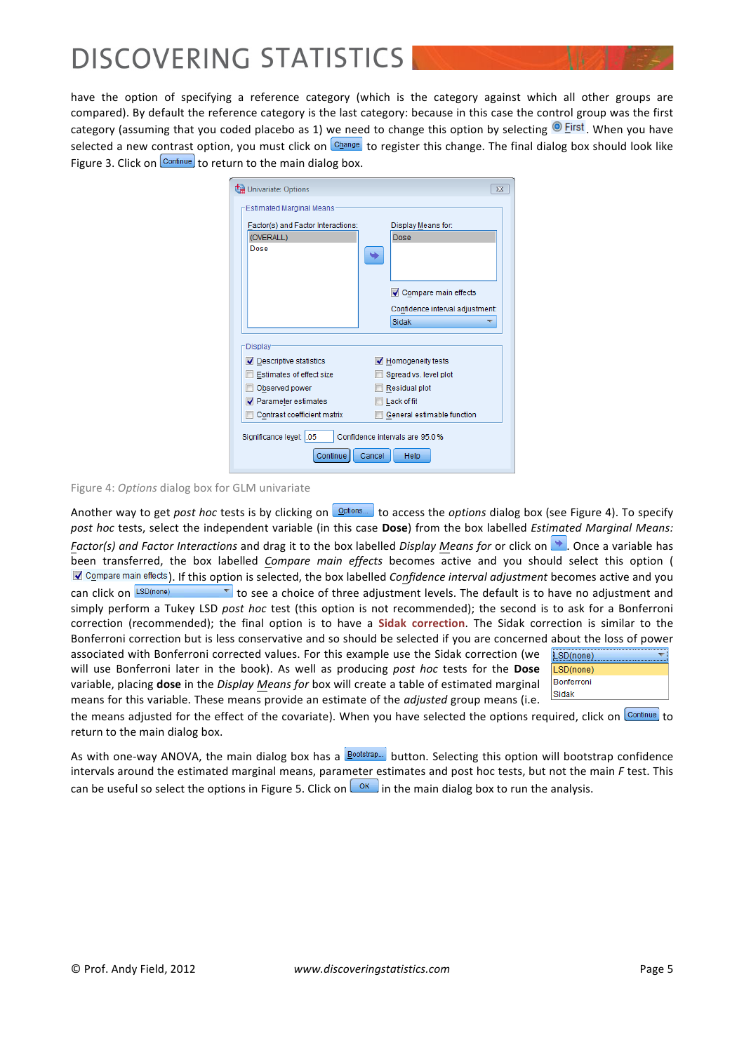have the option of specifying a reference category (which is the category against which all other groups are compared). By default the reference category is the last category: because in this case the control group was the first category (assuming that you coded placebo as 1) we need to change this option by selecting  $\bullet$  Eirst. When you have selected a new contrast option, you must click on  $\frac{Change}{1}$  to register this change. The final dialog box should look like Figure 3. Click on  $\frac{\text{Continue}}{\text{Continue}}$  to return to the main dialog box.

| Univariate: Options                                                                    | $\Sigma$                        |  |  |  |  |
|----------------------------------------------------------------------------------------|---------------------------------|--|--|--|--|
| <b>Estimated Marginal Means</b>                                                        |                                 |  |  |  |  |
| Factor(s) and Factor Interactions:                                                     | Display Means for:              |  |  |  |  |
| (OVERALL)                                                                              | Dose                            |  |  |  |  |
| Dose                                                                                   |                                 |  |  |  |  |
|                                                                                        | Compare main effects            |  |  |  |  |
|                                                                                        | Confidence interval adjustment: |  |  |  |  |
|                                                                                        | Sidak                           |  |  |  |  |
| Display <sup>-</sup>                                                                   |                                 |  |  |  |  |
| $\blacktriangleright$ Descriptive statistics                                           | Homogeneity tests               |  |  |  |  |
| Estimates of effect size                                                               | Spread vs. level plot           |  |  |  |  |
| Observed power                                                                         | Residual plot                   |  |  |  |  |
| $\sqrt{\phantom{a}}$ Parameter estimates                                               | Lack of fit                     |  |  |  |  |
| Contrast coefficient matrix                                                            | General estimable function      |  |  |  |  |
| Significance level: 05<br>Confidence intervals are 95.0%<br>Cancel<br>Continue<br>Help |                                 |  |  |  |  |

#### Figure 4: *Options* dialog box for GLM univariate

Another way to get *post hoc* tests is by clicking on **putions** to access the *options* dialog box (see Figure 4). To specify post hoc tests, select the independent variable (in this case Dose) from the box labelled *Estimated Marginal Means: Factor(s)* and *Factor Interactions* and drag it to the box labelled *Display Means for* or click on **.** Once a variable has been transferred, the box labelled *Compare main effects* becomes active and you should select this option ( ■ Compare main effects ). If this option is selected, the box labelled *Confidence interval adjustment* becomes active and you can click on  $LSD(none)$  and to see a choice of three adjustment levels. The default is to have no adjustment and simply perform a Tukey LSD post hoc test (this option is not recommended); the second is to ask for a Bonferroni correction (recommended); the final option is to have a **Sidak correction**. The Sidak correction is similar to the Bonferroni correction but is less conservative and so should be selected if you are concerned about the loss of power

associated with Bonferroni corrected values. For this example use the Sidak correction (we will use Bonferroni later in the book). As well as producing *post hoc* tests for the **Dose** variable, placing **dose** in the *Display Means for* box will create a table of estimated marginal means for this variable. These means provide an estimate of the *adjusted* group means (i.e.

| LSD(none)  |  |
|------------|--|
| LSD(none)  |  |
| Bonferroni |  |
| Sidak      |  |

the means adjusted for the effect of the covariate). When you have selected the options required, click on Continue to return to the main dialog box.

As with one-way ANOVA, the main dialog box has a  $\frac{1200 \text{C} \cdot \text{C}}{2000 \text{C}}$  button. Selecting this option will bootstrap confidence intervals around the estimated marginal means, parameter estimates and post hoc tests, but not the main *F* test. This can be useful so select the options in Figure 5. Click on  $\left[\frac{K}{m}\right]$  in the main dialog box to run the analysis.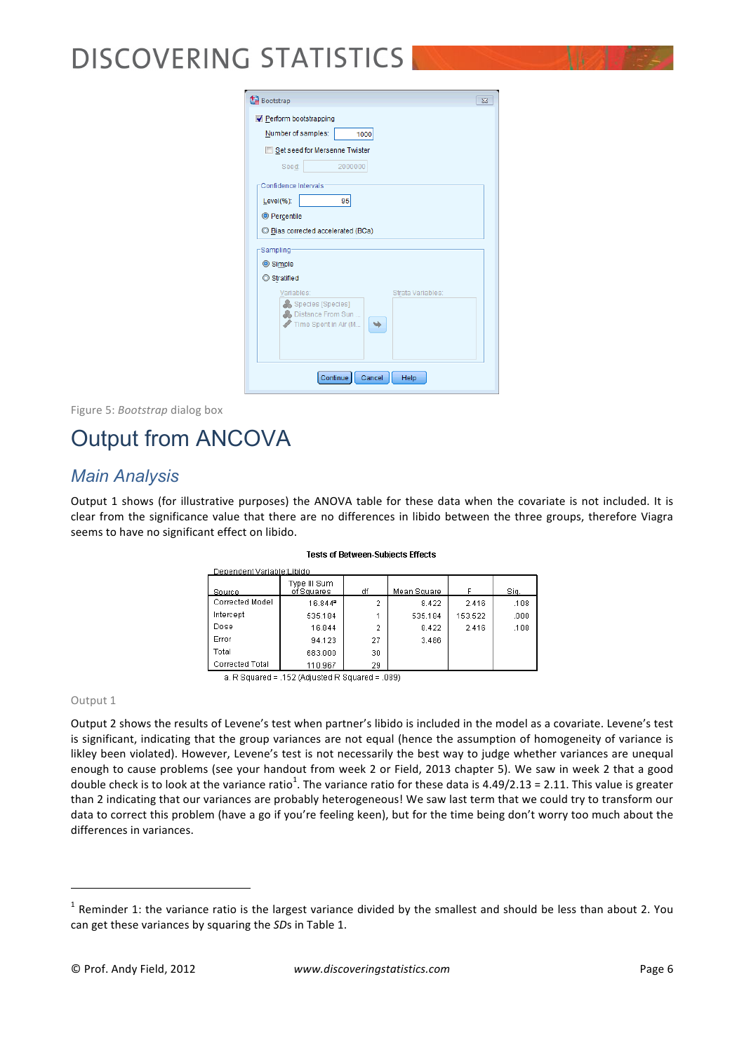| <b>Bootstrap</b><br>$\Sigma$                                                                      |
|---------------------------------------------------------------------------------------------------|
| Perform bootstrapping                                                                             |
| Number of samples:<br>1000                                                                        |
| Set seed for Mersenne Twister                                                                     |
| Seed:<br>2000000                                                                                  |
| Confidence Intervals                                                                              |
| Level(%):<br>95                                                                                   |
| <b>O</b> Percentile                                                                               |
| Bias corrected accelerated (BCa)                                                                  |
| Sampling                                                                                          |
| Simple                                                                                            |
| Stratified                                                                                        |
| Variables:<br>Strata Variables:<br>Species [Species]<br>Distance From Sun<br>Time Spent in Air (M |
| Cancel<br><b>Continue</b><br>Help                                                                 |

Figure 5: *Bootstrap* dialog box

### Output from ANCOVA

### *Main Analysis*

Output 1 shows (for illustrative purposes) the ANOVA table for these data when the covariate is not included. It is clear from the significance value that there are no differences in libido between the three groups, therefore Viagra seems to have no significant effect on libido.

| Dependent Variable:Libido |                            |    |             |         |      |  |  |
|---------------------------|----------------------------|----|-------------|---------|------|--|--|
| Source                    | Type III Sum<br>of Squares | df | Mean Square |         | Sig. |  |  |
| Corrected Model           | 16.844                     | 2  | 8.422       | 2.416   | .108 |  |  |
| Intercept                 | 535.184                    |    | 535.184     | 153.522 | .000 |  |  |
| Dose                      | 16.844                     | 2  | 8.422       | 2.416   | .108 |  |  |
| Error                     | 94.123                     | 27 | 3.486       |         |      |  |  |
| Total                     | 683,000                    | 30 |             |         |      |  |  |
| Corrected Total           | 110.967                    | 29 |             |         |      |  |  |

#### **Tests of Between-Subjects Effects**

a. R Squared = .152 (Adjusted R Squared = .089)

#### Output 1

Output 2 shows the results of Levene's test when partner's libido is included in the model as a covariate. Levene's test is significant, indicating that the group variances are not equal (hence the assumption of homogeneity of variance is likley been violated). However, Levene's test is not necessarily the best way to judge whether variances are unequal enough to cause problems (see your handout from week 2 or Field, 2013 chapter 5). We saw in week 2 that a good double check is to look at the variance ratio<sup>1</sup>. The variance ratio for these data is 4.49/2.13 = 2.11. This value is greater than 2 indicating that our variances are probably heterogeneous! We saw last term that we could try to transform our data to correct this problem (have a go if you're feeling keen), but for the time being don't worry too much about the differences in variances.

 

<sup>&</sup>lt;sup>1</sup> Reminder 1: the variance ratio is the largest variance divided by the smallest and should be less than about 2. You can get these variances by squaring the *SDs* in Table 1.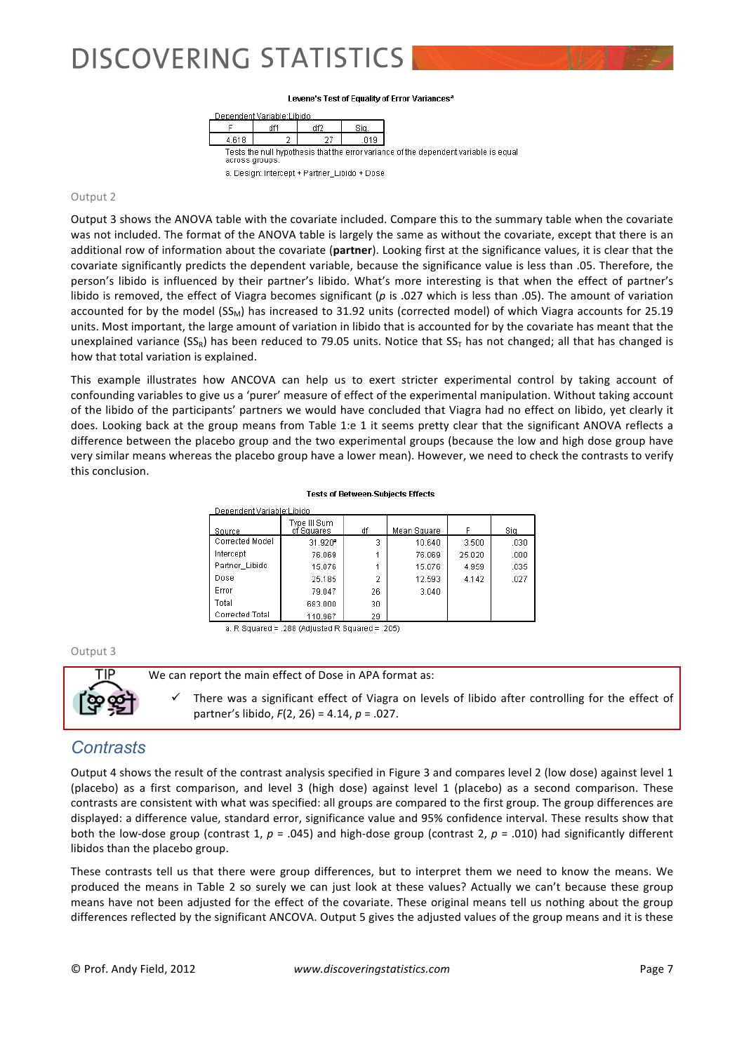#### Levene's Test of Equality of Error Variances<sup>3</sup>

Dependent Variable:Libido df1  $df2$ Sia 4.618 27  $.019$ Tests the null hypothesis that the error variance of the dependent variable is equal across groups a. Design: Intercept + Partner\_Libido + Dose

#### Output 2

Output 3 shows the ANOVA table with the covariate included. Compare this to the summary table when the covariate was not included. The format of the ANOVA table is largely the same as without the covariate, except that there is an additional row of information about the covariate (partner). Looking first at the significance values, it is clear that the covariate significantly predicts the dependent variable, because the significance value is less than .05. Therefore, the person's libido is influenced by their partner's libido. What's more interesting is that when the effect of partner's libido is removed, the effect of Viagra becomes significant ( $p$  is .027 which is less than .05). The amount of variation accounted for by the model  $(SS_M)$  has increased to 31.92 units (corrected model) of which Viagra accounts for 25.19 units. Most important, the large amount of variation in libido that is accounted for by the covariate has meant that the unexplained variance  $(SS_R)$  has been reduced to 79.05 units. Notice that  $SS_T$  has not changed; all that has changed is how that total variation is explained.

This example illustrates how ANCOVA can help us to exert stricter experimental control by taking account of confounding variables to give us a 'purer' measure of effect of the experimental manipulation. Without taking account of the libido of the participants' partners we would have concluded that Viagra had no effect on libido, yet clearly it does. Looking back at the group means from Table 1:e 1 it seems pretty clear that the significant ANOVA reflects a difference between the placebo group and the two experimental groups (because the low and high dose group have very similar means whereas the placebo group have a lower mean). However, we need to check the contrasts to verify this conclusion.

#### **Tests of Between-Subjects Effects**

| Dependent Variable:Libido |                            |    |             |        |      |
|---------------------------|----------------------------|----|-------------|--------|------|
| Source                    | Type III Sum<br>of Squares | df | Mean Square |        | Sig. |
| Corrected Model           | $31.920$ <sup>2</sup>      | 3  | 10.640      | 3.500  | .030 |
| Intercept                 | 76.069                     |    | 76.069      | 25.020 | .000 |
| Partner Libido            | 15.076                     |    | 15.076      | 4.959  | .035 |
| Dose                      | 25.185                     | 2  | 12.593      | 4.142  | .027 |
| Error                     | 79.047                     | 26 | 3.040       |        |      |
| Total                     | 683.000                    | 30 |             |        |      |
| Corrected Total           | 110.967                    | 29 |             |        |      |

a. R Squared = .288 (Adjusted R Squared = .205)

#### Output 3



We can report the main effect of Dose in APA format as:

There was a significant effect of Viagra on levels of libido after controlling for the effect of partner's libido,  $F(2, 26) = 4.14$ ,  $p = .027$ .

### *Contrasts*

Output 4 shows the result of the contrast analysis specified in Figure 3 and compares level 2 (low dose) against level 1 (placebo) as a first comparison, and level 3 (high dose) against level 1 (placebo) as a second comparison. These contrasts are consistent with what was specified: all groups are compared to the first group. The group differences are displayed: a difference value, standard error, significance value and 95% confidence interval. These results show that both the low-dose group (contrast 1,  $p = .045$ ) and high-dose group (contrast 2,  $p = .010$ ) had significantly different libidos than the placebo group.

These contrasts tell us that there were group differences, but to interpret them we need to know the means. We produced the means in Table 2 so surely we can just look at these values? Actually we can't because these group means have not been adjusted for the effect of the covariate. These original means tell us nothing about the group differences reflected by the significant ANCOVA. Output 5 gives the adjusted values of the group means and it is these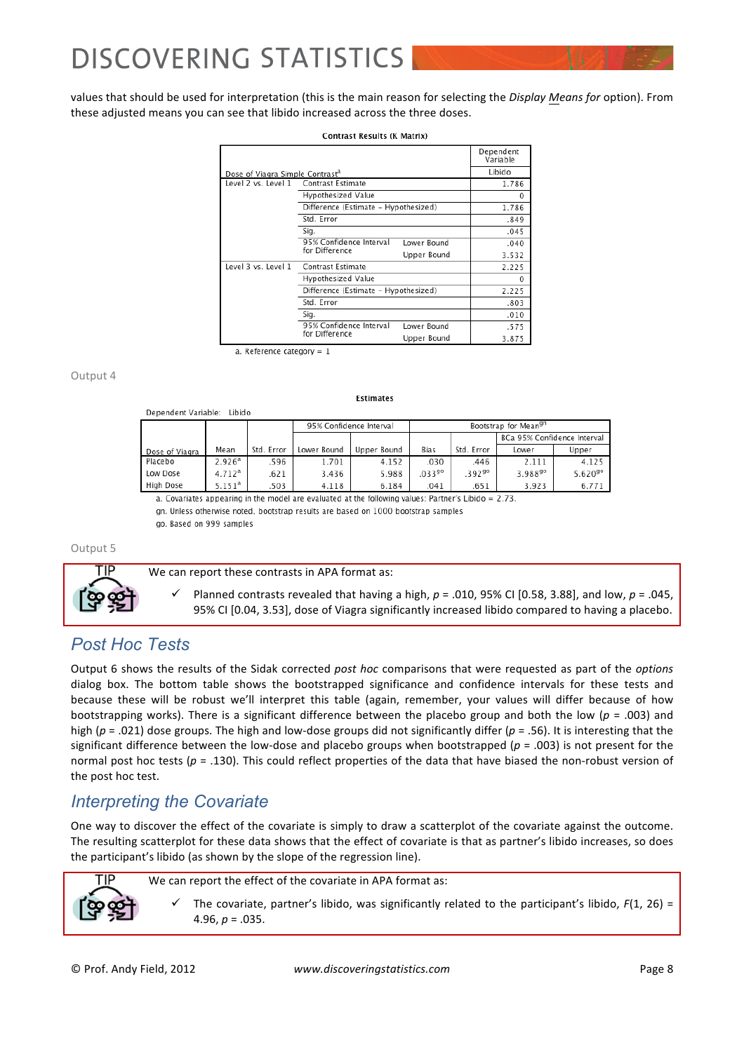values that should be used for interpretation (this is the main reason for selecting the *Display Means for* option). From these adjusted means you can see that libido increased across the three doses.

|                                             |                                       |             | Dependent<br>Variable |  |
|---------------------------------------------|---------------------------------------|-------------|-----------------------|--|
| Dose of Viagra Simple Contrast <sup>a</sup> | Libido                                |             |                       |  |
|                                             | Level 2 vs. Level 1 Contrast Estimate |             |                       |  |
|                                             | Hypothesized Value                    |             | 0                     |  |
|                                             | Difference (Estimate - Hypothesized)  |             | 1.786                 |  |
|                                             | Std. Error                            |             | .849                  |  |
|                                             | Sig.                                  |             | .045                  |  |
|                                             | 95% Confidence Interval               | Lower Bound | .040                  |  |
|                                             | for Difference                        | Upper Bound | 3.532                 |  |
| Level 3 vs. Level 1                         | Contrast Estimate                     |             | 2.225                 |  |
|                                             | Hypothesized Value                    | 0           |                       |  |
|                                             | Difference (Estimate - Hypothesized)  | 2.225       |                       |  |
|                                             | Std. Error                            |             | .803                  |  |
|                                             | Sig.                                  |             | .010                  |  |
|                                             | 95% Confidence Interval               | Lower Bound | .575                  |  |
|                                             | for Difference                        | Upper Bound | 3.875                 |  |

#### Contrast Results (K Matrix)

a. Reference category =  $1$ 

#### Output 4

#### **Estimates**

| Dependent Variable:<br>Libido |                    |            |             |                         |        |                   |                                  |              |
|-------------------------------|--------------------|------------|-------------|-------------------------|--------|-------------------|----------------------------------|--------------|
|                               |                    |            |             | 95% Confidence Interval |        |                   | Bootstrap for Mean <sup>gn</sup> |              |
|                               |                    |            |             |                         |        |                   | BCa 95% Confidence Interval      |              |
| Dose of Viagra                | Mean               | Std. Error | Lower Bound | Upper Bound             | Bias   | Std. Error        | Lower                            | Upper        |
| Placebo                       | 2.926 <sup>a</sup> | .596       | 1.701       | 4.152                   | .030   | .446              | 2.111                            | 4.125        |
| Low Dose                      | 4.712 <sup>a</sup> | .621       | 3.436       | 5.988                   | .03390 | 392 <sup>go</sup> | 3.988 <sup>go</sup>              | $5.620^{90}$ |
| High Dose                     | 5.151 <sup>a</sup> | .503       | 4.118       | 6.184                   | .041   | .651              | 3.923                            | 6.771        |

a. Covariates appearing in the model are evaluated at the following values: Partner's Libido =  $2.73$ .

gn. Unless otherwise noted, bootstrap results are based on 1000 bootstrap samples go. Based on 999 samples

#### Output 5



We can report these contrasts in APA format as:

Planned contrasts revealed that having a high,  $p = .010$ , 95% CI [0.58, 3.88], and low,  $p = .045$ , 95% CI [0.04, 3.53], dose of Viagra significantly increased libido compared to having a placebo.

### *Post Hoc Tests*

Output 6 shows the results of the Sidak corrected *post hoc* comparisons that were requested as part of the *options* dialog box. The bottom table shows the bootstrapped significance and confidence intervals for these tests and because these will be robust we'll interpret this table (again, remember, your values will differ because of how bootstrapping works). There is a significant difference between the placebo group and both the low ( $p = .003$ ) and high ( $p = .021$ ) dose groups. The high and low-dose groups did not significantly differ ( $p = .56$ ). It is interesting that the significant difference between the low-dose and placebo groups when bootstrapped ( $p = .003$ ) is not present for the normal post hoc tests ( $p = .130$ ). This could reflect properties of the data that have biased the non-robust version of the post hoc test.

### *Interpreting the Covariate*

One way to discover the effect of the covariate is simply to draw a scatterplot of the covariate against the outcome. The resulting scatterplot for these data shows that the effect of covariate is that as partner's libido increases, so does the participant's libido (as shown by the slope of the regression line).



We can report the effect of the covariate in APA format as:

The covariate, partner's libido, was significantly related to the participant's libido,  $F(1, 26) =$ 4.96,  $p = .035$ .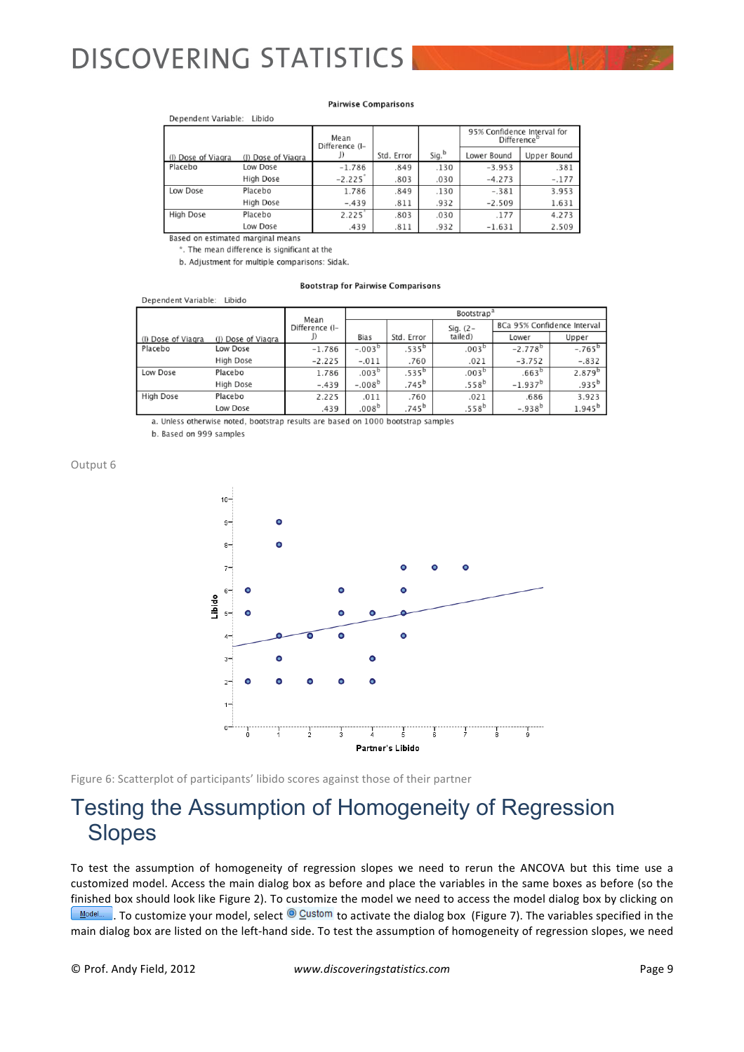Dependent Variable: Libido

#### **Pairwise Comparisons**

|                    |                    | Mean<br>Difference (I- |            |       | 95% Confidence Interval for<br>Difference <sup>p</sup> |             |
|--------------------|--------------------|------------------------|------------|-------|--------------------------------------------------------|-------------|
| (I) Dose of Viagra | (J) Dose of Viagra |                        | Std. Error | Sig.b | Lower Bound                                            | Upper Bound |
| Placebo            | Low Dose           | $-1.786$               | .849       | .130  | $-3.953$                                               | .381        |
|                    | High Dose          | $-2.225$               | .803       | .030  | $-4.273$                                               | $-.177$     |
| Low Dose           | Placebo            | 1.786                  | .849       | .130  | $-.381$                                                | 3.953       |
|                    | High Dose          | $-.439$                | .811       | .932  | $-2.509$                                               | 1.631       |
| High Dose          | Placebo            | 2.225                  | .803       | .030  | .177                                                   | 4.273       |
|                    | Low Dose           | .439                   | .811       | .932  | $-1.631$                                               | 2.509       |

Based on estimated marginal means

\*. The mean difference is significant at the

b. Adjustment for multiple comparisons: Sidak.

#### **Bootstrap for Pairwise Comparisons**

| Dependent Variable: Libido |                    |                        |                                            |                   |                        |                   |                    |
|----------------------------|--------------------|------------------------|--------------------------------------------|-------------------|------------------------|-------------------|--------------------|
|                            |                    |                        |                                            |                   | Bootstrap <sup>a</sup> |                   |                    |
|                            |                    | Mean<br>Difference (I- | BCa 95% Confidence Interval<br>Sig. $(2 -$ |                   |                        |                   |                    |
| (I) Dose of Viagra         | (J) Dose of Viagra |                        | <b>Bias</b>                                | Std. Error        | tailed)                | Lower             | Upper              |
| Placebo                    | Low Dose           | $-1.786$               | $-.003b$                                   | .535 <sup>b</sup> | .003 <sup>b</sup>      | $-2.778^{b}$      | $-.765^b$          |
|                            | High Dose          | $-2.225$               | $-.011$                                    | .760              | .021                   | $-3.752$          | $-.832$            |
| Low Dose                   | Placebo            | 1.786                  | .003 <sup>b</sup>                          | .535 <sup>b</sup> | .003 <sup>b</sup>      | .663 <sup>b</sup> | 2.879 <sup>b</sup> |
|                            | High Dose          | $-.439$                | $-.008b$                                   | .745 <sup>b</sup> | $.558^b$               | $-1.937^b$        | .935 <sup>b</sup>  |
| High Dose                  | Placebo            | 2.225                  | .011                                       | .760              | .021                   | .686              | 3.923              |
|                            | Low Dose           | .439                   | .008 <sup>b</sup>                          | .745 <sup>b</sup> | .558 <sup>b</sup>      | $-.938^{b}$       | $1.945^{b}$        |

a. Unless otherwise noted, bootstrap results are based on 1000 bootstrap samples

b. Based on 999 samples

Output 6



Figure 6: Scatterplot of participants' libido scores against those of their partner

### Testing the Assumption of Homogeneity of Regression **Slopes**

To test the assumption of homogeneity of regression slopes we need to rerun the ANCOVA but this time use a customized model. Access the main dialog box as before and place the variables in the same boxes as before (so the finished box should look like Figure 2). To customize the model we need to access the model dialog box by clicking on  $\boxed{\text{Model...}}$ . To customize your model, select  $\textcircled{}$  Custom to activate the dialog box (Figure 7). The variables specified in the main dialog box are listed on the left-hand side. To test the assumption of homogeneity of regression slopes, we need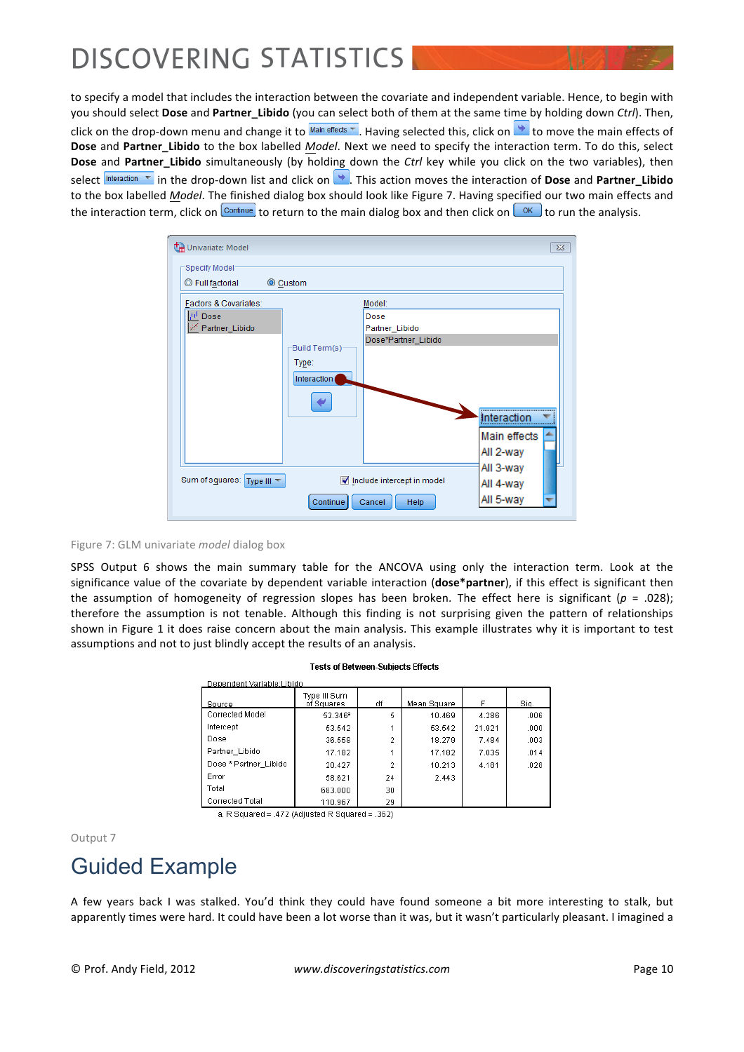to specify a model that includes the interaction between the covariate and independent variable. Hence, to begin with you should select Dose and Partner\_Libido (you can select both of them at the same time by holding down *Ctrl*). Then, click on the drop-down menu and change it to Main effects  $\overline{\phantom{a}}$ . Having selected this, click on  $\overline{\phantom{a}}$  to move the main effects of **Dose** and Partner Libido to the box labelled *Model*. Next we need to specify the interaction term. To do this, select **Dose** and Partner\_Libido simultaneously (by holding down the *Ctrl* key while you click on the two variables), then select **Interaction** and the drop-down list and click on **.** This action moves the interaction of **Dose** and **Partner\_Libido** to the box labelled *Model*. The finished dialog box should look like Figure 7. Having specified our two main effects and the interaction term, click on  $\frac{\text{Continue}}{\text{tot}}$  to return to the main dialog box and then click on  $\frac{\text{OK}}{\text{tot}}$  to run the analysis.

| Univariate: Model<br>Specify Model-<br>Custom<br>C Full factorial<br>Factors & Covariates: |                                        | Model:                                        | $\Sigma$                                     |
|--------------------------------------------------------------------------------------------|----------------------------------------|-----------------------------------------------|----------------------------------------------|
| <b>PP</b> Dose<br>Partner_Libido                                                           | Build Term(s)-<br>Type:<br>Interaction | Dose<br>Partner_Libido<br>Dose*Partner_Libido | <br>Interaction<br>Main effects<br>All 2-way |
| Sum of squares:<br>Type III $\tau$                                                         | Continue                               | Include intercept in model<br>Help<br>Cancel  | All 3-way<br>All 4-way<br>All 5-way          |

#### Figure 7: GLM univariate *model* dialog box

SPSS Output 6 shows the main summary table for the ANCOVA using only the interaction term. Look at the significance value of the covariate by dependent variable interaction (dose\*partner), if this effect is significant then the assumption of homogeneity of regression slopes has been broken. The effect here is significant ( $p = .028$ ); therefore the assumption is not tenable. Although this finding is not surprising given the pattern of relationships shown in Figure 1 it does raise concern about the main analysis. This example illustrates why it is important to test assumptions and not to just blindly accept the results of an analysis.

| Dependent Variable:Libido |                            |    |             |        |       |  |  |
|---------------------------|----------------------------|----|-------------|--------|-------|--|--|
| Source                    | Type III Sum<br>of Squares | df | Mean Square | F      | Sia.  |  |  |
| Corrected Model           | $52.346^{\circ}$           | 5  | 10.469      | 4.286  | .006  |  |  |
| Intercept                 | 53.542                     |    | 53.542      | 21.921 | .000. |  |  |
| Dose                      | 36.558                     | 2  | 18.279      | 7.484  | .003  |  |  |
| Partner Libido            | 17.182                     |    | 17.182      | 7.035  | .014  |  |  |
| Dose * Partner Libido     | 20.427                     | 2  | 10.213      | 4.181  | .028  |  |  |
| Error                     | 58.621                     | 24 | 2.443       |        |       |  |  |
| Total                     | 683.000                    | 30 |             |        |       |  |  |
| Corrected Total           | 110.967                    | 29 |             |        |       |  |  |

#### **Tests of Between-Subjects Effects**

a. R Squared = .472 (Adjusted R Squared = .362)

Output 7

### Guided Example

A few years back I was stalked. You'd think they could have found someone a bit more interesting to stalk, but apparently times were hard. It could have been a lot worse than it was, but it wasn't particularly pleasant. I imagined a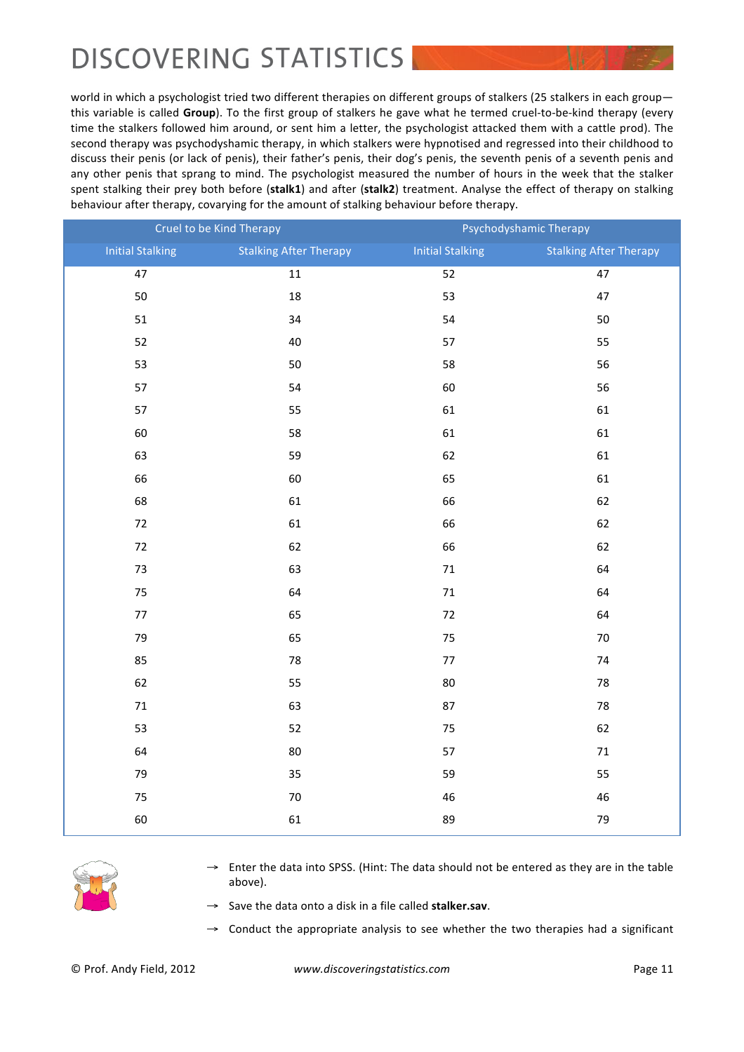world in which a psychologist tried two different therapies on different groups of stalkers (25 stalkers in each group this variable is called Group). To the first group of stalkers he gave what he termed cruel-to-be-kind therapy (every time the stalkers followed him around, or sent him a letter, the psychologist attacked them with a cattle prod). The second therapy was psychodyshamic therapy, in which stalkers were hypnotised and regressed into their childhood to discuss their penis (or lack of penis), their father's penis, their dog's penis, the seventh penis of a seventh penis and any other penis that sprang to mind. The psychologist measured the number of hours in the week that the stalker spent stalking their prey both before (stalk1) and after (stalk2) treatment. Analyse the effect of therapy on stalking behaviour after therapy, covarying for the amount of stalking behaviour before therapy.

| Cruel to be Kind Therapy |                               | Psychodyshamic Therapy  |                               |  |  |
|--------------------------|-------------------------------|-------------------------|-------------------------------|--|--|
| <b>Initial Stalking</b>  | <b>Stalking After Therapy</b> | <b>Initial Stalking</b> | <b>Stalking After Therapy</b> |  |  |
| 47                       | 11                            | $\overline{52}$         | 47                            |  |  |
| 50                       | 18                            | 53                      | 47                            |  |  |
| 51                       | 34                            | 54                      | 50                            |  |  |
| 52                       | 40                            | 57                      | 55                            |  |  |
| 53                       | 50                            | 58                      | 56                            |  |  |
| 57                       | 54                            | 60                      | 56                            |  |  |
| 57                       | 55                            | 61                      | 61                            |  |  |
| 60                       | 58                            | 61                      | 61                            |  |  |
| 63                       | 59                            | 62                      | 61                            |  |  |
| 66                       | 60                            | 65                      | 61                            |  |  |
| 68                       | 61                            | 66                      | 62                            |  |  |
| $72\,$                   | 61                            | 66                      | 62                            |  |  |
| $72\,$                   | 62                            | 66                      | 62                            |  |  |
| 73                       | 63                            | $71\,$                  | 64                            |  |  |
| 75                       | 64                            | $71\,$                  | 64                            |  |  |
| 77                       | 65                            | 72                      | 64                            |  |  |
| 79                       | 65                            | 75                      | $70\,$                        |  |  |
| 85                       | 78                            | 77                      | 74                            |  |  |
| 62                       | 55                            | 80                      | 78                            |  |  |
| $71\,$                   | 63                            | 87                      | 78                            |  |  |
| 53                       | 52                            | 75                      | 62                            |  |  |
| 64                       | $80\,$                        | 57                      | $71\,$                        |  |  |
| 79                       | 35                            | 59                      | 55                            |  |  |
| 75                       | $70\,$                        | 46                      | 46                            |  |  |
| 60                       | 61                            | 89                      | 79                            |  |  |



- $\rightarrow$  Enter the data into SPSS. (Hint: The data should not be entered as they are in the table above).
- Save the data onto a disk in a file called **stalker.sav**.
- Conduct the appropriate analysis to see whether the two therapies had a significant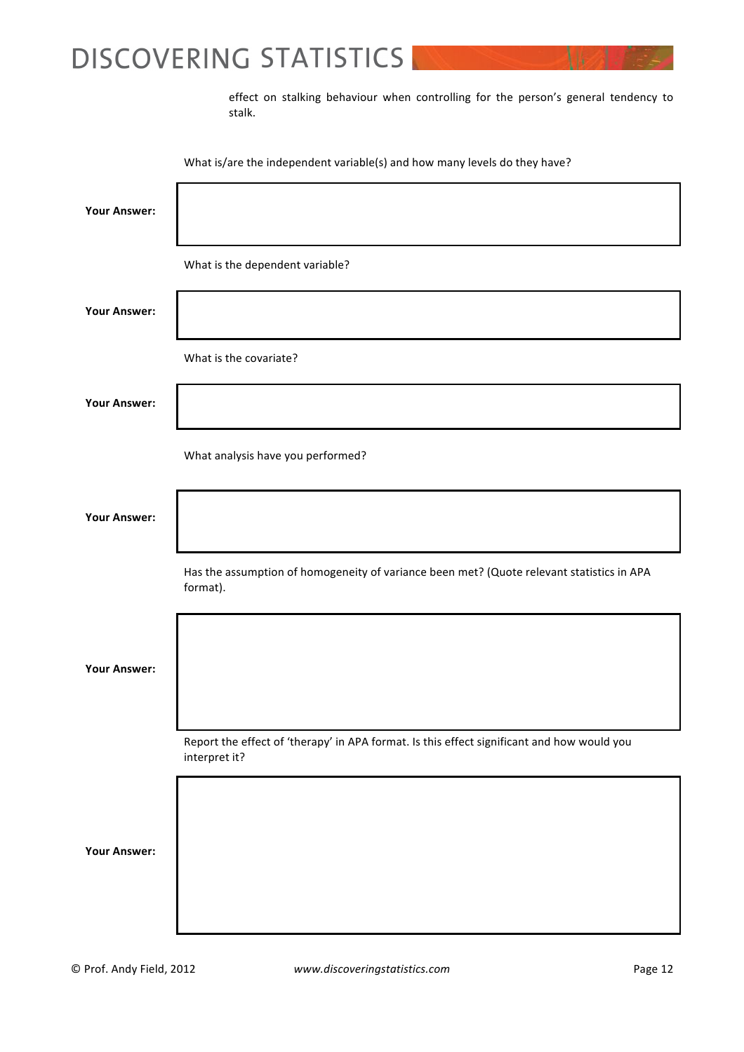effect on stalking behaviour when controlling for the person's general tendency to stalk.

What is/are the independent variable(s) and how many levels do they have?

| <b>Your Answer:</b> |                                                                                                             |
|---------------------|-------------------------------------------------------------------------------------------------------------|
|                     | What is the dependent variable?                                                                             |
| <b>Your Answer:</b> |                                                                                                             |
|                     | What is the covariate?                                                                                      |
| <b>Your Answer:</b> |                                                                                                             |
|                     | What analysis have you performed?                                                                           |
| <b>Your Answer:</b> |                                                                                                             |
|                     | Has the assumption of homogeneity of variance been met? (Quote relevant statistics in APA<br>format).       |
| <b>Your Answer:</b> |                                                                                                             |
|                     | Report the effect of 'therapy' in APA format. Is this effect significant and how would you<br>interpret it? |
| <b>Your Answer:</b> |                                                                                                             |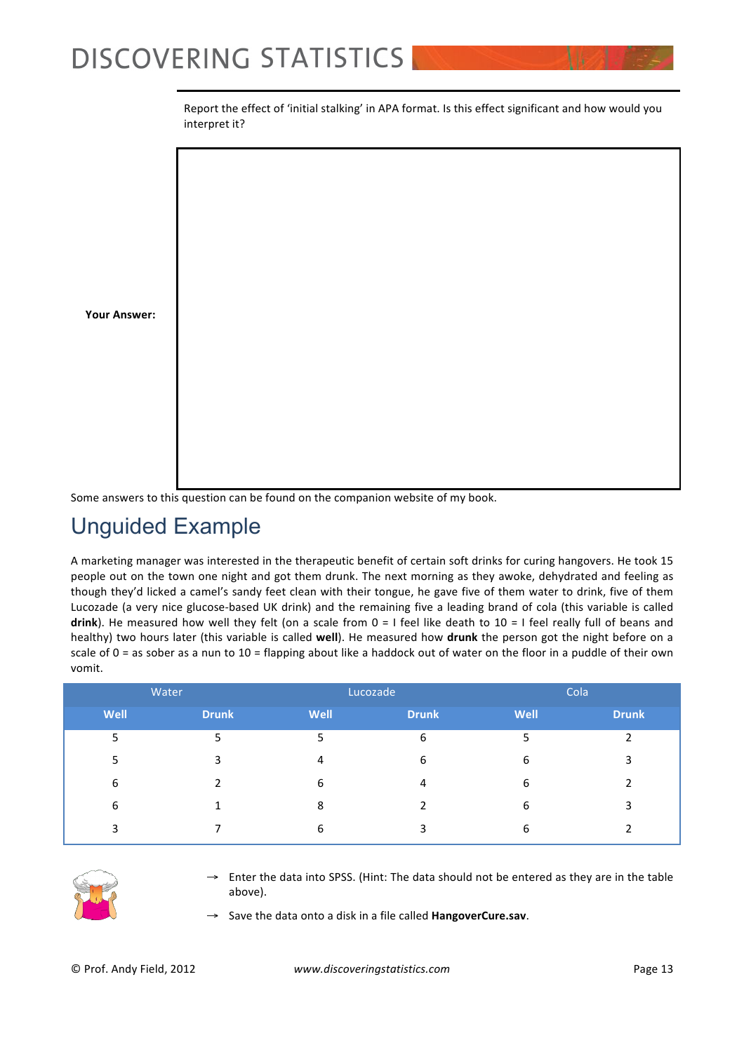Report the effect of 'initial stalking' in APA format. Is this effect significant and how would you interpret it?



Some answers to this question can be found on the companion website of my book.

## Unguided Example

A marketing manager was interested in the therapeutic benefit of certain soft drinks for curing hangovers. He took 15 people out on the town one night and got them drunk. The next morning as they awoke, dehydrated and feeling as though they'd licked a camel's sandy feet clean with their tongue, he gave five of them water to drink, five of them Lucozade (a very nice glucose-based UK drink) and the remaining five a leading brand of cola (this variable is called **drink**). He measured how well they felt (on a scale from  $0 = 1$  feel like death to  $10 = 1$  feel really full of beans and healthy) two hours later (this variable is called **well**). He measured how **drunk** the person got the night before on a scale of  $0 =$  as sober as a nun to  $10 =$  flapping about like a haddock out of water on the floor in a puddle of their own vomit.

| Water  |              |      | Lucozade     | Cola |              |
|--------|--------------|------|--------------|------|--------------|
| Well   | <b>Drunk</b> | Well | <b>Drunk</b> | Well | <b>Drunk</b> |
| 5      | 5            | 5    | 6            | 5.   | ຳ            |
| 5      | 3            | 4    | 6            | 6    | 3            |
| 6      |              | 6    | 4            | 6    |              |
| 6      |              | 8    |              | 6    | 3            |
| э<br>∍ |              | 6    | 3            | 6    |              |
|        |              |      |              |      |              |



- Enter the data into SPSS. (Hint: The data should not be entered as they are in the table above).
- → Save the data onto a disk in a file called **HangoverCure.sav**.